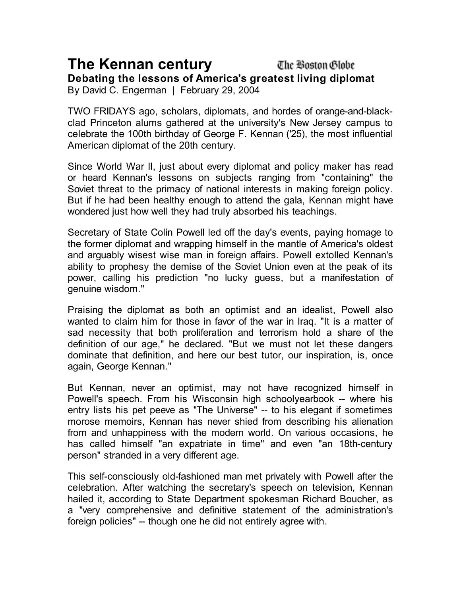## **The Kennan century**

The Boston Globe

**Debating the lessons of America's greatest living diplomat**

By David C. Engerman | February 29, 2004

TWO FRIDAYS ago, scholars, diplomats, and hordes of orange-and-blackclad Princeton alums gathered at the university's New Jersey campus to celebrate the 100th birthday of George F. Kennan ('25), the most influential American diplomat of the 20th century.

Since World War II, just about every diplomat and policy maker has read or heard Kennan's lessons on subjects ranging from "containing" the Soviet threat to the primacy of national interests in making foreign policy. But if he had been healthy enough to attend the gala, Kennan might have wondered just how well they had truly absorbed his teachings.

Secretary of State Colin Powell led off the day's events, paying homage to the former diplomat and wrapping himself in the mantle of America's oldest and arguably wisest wise man in foreign affairs. Powell extolled Kennan's ability to prophesy the demise of the Soviet Union even at the peak of its power, calling his prediction "no lucky guess, but a manifestation of genuine wisdom."

Praising the diplomat as both an optimist and an idealist, Powell also wanted to claim him for those in favor of the war in Iraq. "It is a matter of sad necessity that both proliferation and terrorism hold a share of the definition of our age," he declared. "But we must not let these dangers dominate that definition, and here our best tutor, our inspiration, is, once again, George Kennan."

But Kennan, never an optimist, may not have recognized himself in Powell's speech. From his Wisconsin high schoolyearbook -- where his entry lists his pet peeve as "The Universe" -- to his elegant if sometimes morose memoirs, Kennan has never shied from describing his alienation from and unhappiness with the modern world. On various occasions, he has called himself "an expatriate in time" and even "an 18th-century person" stranded in a very different age.

This self-consciously old-fashioned man met privately with Powell after the celebration. After watching the secretary's speech on television, Kennan hailed it, according to State Department spokesman Richard Boucher, as a "very comprehensive and definitive statement of the administration's foreign policies" -- though one he did not entirely agree with.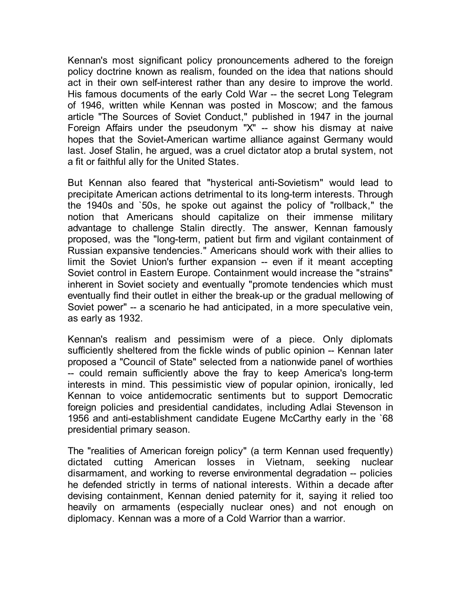Kennan's most significant policy pronouncements adhered to the foreign policy doctrine known as realism, founded on the idea that nations should act in their own self-interest rather than any desire to improve the world. His famous documents of the early Cold War -- the secret Long Telegram of 1946, written while Kennan was posted in Moscow; and the famous article "The Sources of Soviet Conduct," published in 1947 in the journal Foreign Affairs under the pseudonym "X" -- show his dismay at naive hopes that the Soviet-American wartime alliance against Germany would last. Josef Stalin, he argued, was a cruel dictator atop a brutal system, not a fit or faithful ally for the United States.

But Kennan also feared that "hysterical anti-Sovietism" would lead to precipitate American actions detrimental to its long-term interests. Through the 1940s and `50s, he spoke out against the policy of "rollback," the notion that Americans should capitalize on their immense military advantage to challenge Stalin directly. The answer, Kennan famously proposed, was the "long-term, patient but firm and vigilant containment of Russian expansive tendencies." Americans should work with their allies to limit the Soviet Union's further expansion -- even if it meant accepting Soviet control in Eastern Europe. Containment would increase the "strains" inherent in Soviet society and eventually "promote tendencies which must eventually find their outlet in either the break-up or the gradual mellowing of Soviet power" -- a scenario he had anticipated, in a more speculative vein, as early as 1932.

Kennan's realism and pessimism were of a piece. Only diplomats sufficiently sheltered from the fickle winds of public opinion -- Kennan later proposed a "Council of State" selected from a nationwide panel of worthies -- could remain sufficiently above the fray to keep America's long-term interests in mind. This pessimistic view of popular opinion, ironically, led Kennan to voice antidemocratic sentiments but to support Democratic foreign policies and presidential candidates, including Adlai Stevenson in 1956 and anti-establishment candidate Eugene McCarthy early in the `68 presidential primary season.

The "realities of American foreign policy" (a term Kennan used frequently) dictated cutting American losses in Vietnam, seeking nuclear disarmament, and working to reverse environmental degradation -- policies he defended strictly in terms of national interests. Within a decade after devising containment, Kennan denied paternity for it, saying it relied too heavily on armaments (especially nuclear ones) and not enough on diplomacy. Kennan was a more of a Cold Warrior than a warrior.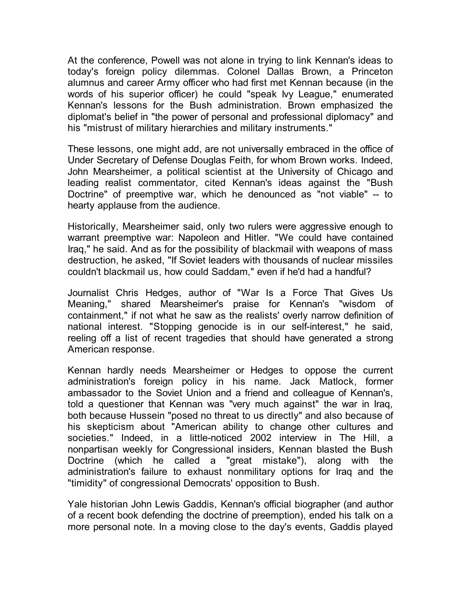At the conference, Powell was not alone in trying to link Kennan's ideas to today's foreign policy dilemmas. Colonel Dallas Brown, a Princeton alumnus and career Army officer who had first met Kennan because (in the words of his superior officer) he could "speak Ivy League," enumerated Kennan's lessons for the Bush administration. Brown emphasized the diplomat's belief in "the power of personal and professional diplomacy" and his "mistrust of military hierarchies and military instruments."

These lessons, one might add, are not universally embraced in the office of Under Secretary of Defense Douglas Feith, for whom Brown works. Indeed, John Mearsheimer, a political scientist at the University of Chicago and leading realist commentator, cited Kennan's ideas against the "Bush Doctrine" of preemptive war, which he denounced as "not viable" -- to hearty applause from the audience.

Historically, Mearsheimer said, only two rulers were aggressive enough to warrant preemptive war: Napoleon and Hitler. "We could have contained Iraq," he said. And as for the possibility of blackmail with weapons of mass destruction, he asked, "If Soviet leaders with thousands of nuclear missiles couldn't blackmail us, how could Saddam," even if he'd had a handful?

Journalist Chris Hedges, author of "War Is a Force That Gives Us Meaning," shared Mearsheimer's praise for Kennan's "wisdom of containment," if not what he saw as the realists' overly narrow definition of national interest. "Stopping genocide is in our self-interest," he said, reeling off a list of recent tragedies that should have generated a strong American response.

Kennan hardly needs Mearsheimer or Hedges to oppose the current administration's foreign policy in his name. Jack Matlock, former ambassador to the Soviet Union and a friend and colleague of Kennan's, told a questioner that Kennan was "very much against" the war in Iraq, both because Hussein "posed no threat to us directly" and also because of his skepticism about "American ability to change other cultures and societies." Indeed, in a little-noticed 2002 interview in The Hill, a nonpartisan weekly for Congressional insiders, Kennan blasted the Bush Doctrine (which he called a "great mistake"), along with the administration's failure to exhaust nonmilitary options for Iraq and the "timidity" of congressional Democrats' opposition to Bush.

Yale historian John Lewis Gaddis, Kennan's official biographer (and author of a recent book defending the doctrine of preemption), ended his talk on a more personal note. In a moving close to the day's events, Gaddis played